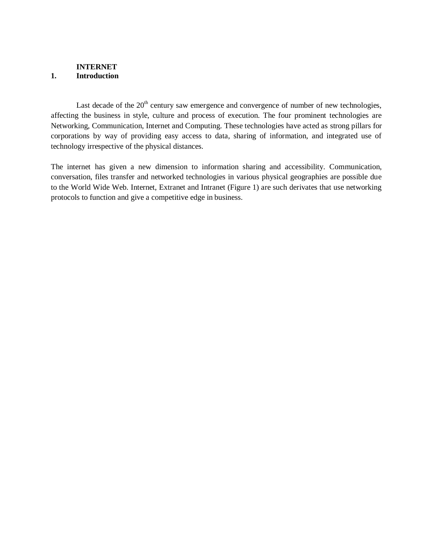#### **INTERNET 1. Introduction**

Last decade of the  $20<sup>th</sup>$  century saw emergence and convergence of number of new technologies, affecting the business in style, culture and process of execution. The four prominent technologies are Networking, Communication, Internet and Computing. These technologies have acted as strong pillars for corporations by way of providing easy access to data, sharing of information, and integrated use of technology irrespective of the physical distances.

The internet has given a new dimension to information sharing and accessibility. Communication, conversation, files transfer and networked technologies in various physical geographies are possible due to the World Wide Web. Internet, Extranet and Intranet (Figure 1) are such derivates that use networking protocols to function and give a competitive edge in business.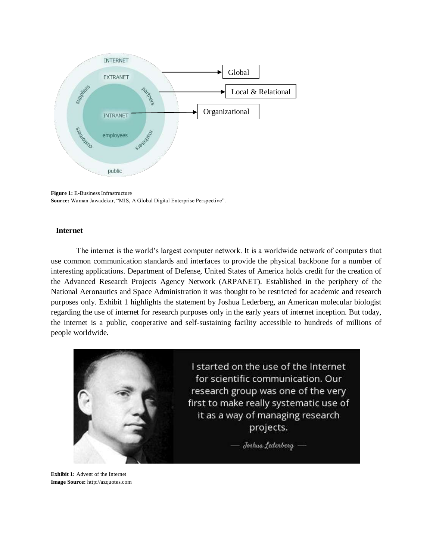

**Figure 1:** E-Business Infrastructure **Source:** Waman Jawadekar, "MIS, A Global Digital Enterprise Perspective".

#### **Internet**

The internet is the world's largest computer network. It is a worldwide network of computers that use common communication standards and interfaces to provide the physical backbone for a number of interesting applications. Department of Defense, United States of America holds credit for the creation of the Advanced Research Projects Agency Network (ARPANET). Established in the periphery of the National Aeronautics and Space Administration it was thought to be restricted for academic and research purposes only. Exhibit 1 highlights the statement by Joshua Lederberg, an American molecular biologist regarding the use of internet for research purposes only in the early years of internet inception. But today, the internet is a public, cooperative and self-sustaining facility accessible to hundreds of millions of people worldwide.



**Exhibit 1:** Advent of the Internet **Image Source:** [http://azquotes.com](http://azquotes.com/)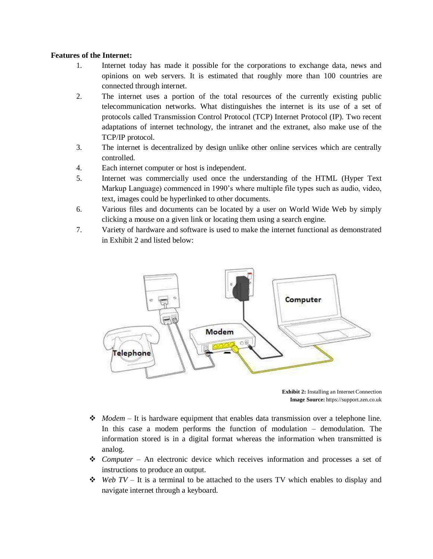### **Features of the Internet:**

- 1. Internet today has made it possible for the corporations to exchange data, news and opinions on web servers. It is estimated that roughly more than 100 countries are connected through internet.
- 2. The internet uses a portion of the total resources of the currently existing public telecommunication networks. What distinguishes the internet is its use of a set of protocols called Transmission Control Protocol (TCP) Internet Protocol (IP). Two recent adaptations of internet technology, the intranet and the extranet, also make use of the TCP/IP protocol.
- 3. The internet is decentralized by design unlike other online services which are centrally controlled.
- 4. Each internet computer or host is independent.
- 5. Internet was commercially used once the understanding of the HTML (Hyper Text Markup Language) commenced in 1990's where multiple file types such as audio, video, text, images could be hyperlinked to other documents.
- 6. Various files and documents can be located by a user on World Wide Web by simply clicking a mouse on a given link or locating them using a search engine.
- 7. Variety of hardware and software is used to make the internet functional as demonstrated in Exhibit 2 and listed below:



**Exhibit 2:** Installing an Internet Connection **Image Source:** https://support.zen.co.uk

- ◆ *Modem* It is hardware equipment that enables data transmission over a telephone line. In this case a modem performs the function of modulation – demodulation. The information stored is in a digital format whereas the information when transmitted is analog.
- *Computer*  An electronic device which receives information and processes a set of instructions to produce an output.
- $\div$  *Web TV It is a terminal to be attached to the users TV which enables to display and* navigate internet through a keyboard.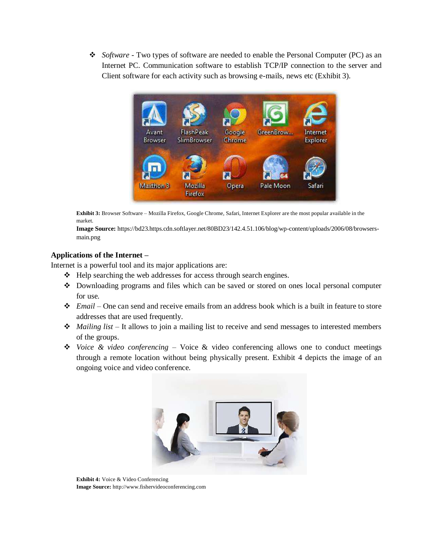*Software* - Two types of software are needed to enable the Personal Computer (PC) as an Internet PC. Communication software to establish TCP/IP connection to the server and Client software for each activity such as browsing e-mails, news etc (Exhibit 3).



**Exhibit 3:** Browser Software – Mozilla Firefox, Google Chrome, Safari, Internet Explorer are the most popular available in the market.

**Image Source:** https://bd23.https.cdn.softlayer.net/80BD23/142.4.51.106/blog/wp-content/uploads/2006/08/browsersmain.png

### **Applications of the Internet –**

Internet is a powerful tool and its major applications are:

- $\triangleleft$  Help searching the web addresses for access through search engines.
- Downloading programs and files which can be saved or stored on ones local personal computer for use.
- *Email*  One can send and receive emails from an address book which is a built in feature to store addresses that are used frequently.
- *Mailing list*  It allows to join a mailing list to receive and send messages to interested members of the groups.
- *Voice & video conferencing*  Voice & video conferencing allows one to conduct meetings through a remote location without being physically present. Exhibit 4 depicts the image of an ongoing voice and video conference.



**Exhibit 4:** Voice & Video Conferencing **Image Source:** [http://www.fishervideoconferencing.com](http://www.fishervideoconferencing.com/)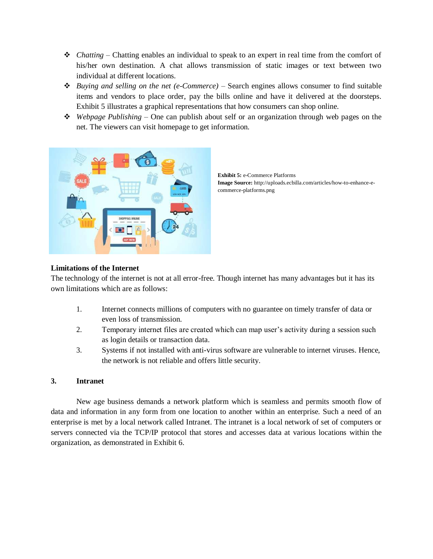- *Chatting*  Chatting enables an individual to speak to an expert in real time from the comfort of his/her own destination. A chat allows transmission of static images or text between two individual at different locations.
- *Buying and selling on the net (e-Commerce)*  Search engines allows consumer to find suitable items and vendors to place order, pay the bills online and have it delivered at the doorsteps. Exhibit 5 illustrates a graphical representations that how consumers can shop online.
- *Webpage Publishing*  One can publish about self or an organization through web pages on the net. The viewers can visit homepage to get information.



**Exhibit 5:** e-Commerce Platforms **Image Source:** [http://uploads.ecbilla.com/articles/how-to-enhance-e](http://uploads.ecbilla.com/articles/how-to-enhance-e-)commerce-platforms.png

# **Limitations of the Internet**

The technology of the internet is not at all error-free. Though internet has many advantages but it has its own limitations which are as follows:

- 1. Internet connects millions of computers with no guarantee on timely transfer of data or even loss of transmission.
- 2. Temporary internet files are created which can map user's activity during a session such as login details or transaction data.
- 3. Systems if not installed with anti-virus software are vulnerable to internet viruses. Hence, the network is not reliable and offers little security.

### **3. Intranet**

New age business demands a network platform which is seamless and permits smooth flow of data and information in any form from one location to another within an enterprise. Such a need of an enterprise is met by a local network called Intranet. The intranet is a local network of set of computers or servers connected via the TCP/IP protocol that stores and accesses data at various locations within the organization, as demonstrated in Exhibit 6.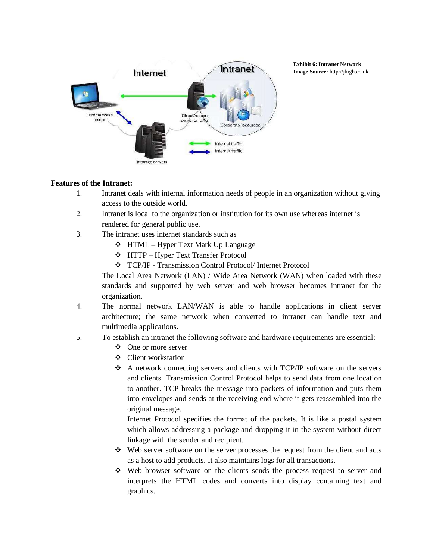

**Exhibit 6: Intranet Network Image Source:** [http://jhigh.co.uk](http://jhigh.co.uk/)

## **Features of the Intranet:**

- 1. Intranet deals with internal information needs of people in an organization without giving access to the outside world.
- 2. Intranet is local to the organization or institution for its own use whereas internet is rendered for general public use.
- 3. The intranet uses internet standards such as
	- **❖** HTML Hyper Text Mark Up Language
	- HTTP Hyper Text Transfer Protocol
	- TCP/IP Transmission Control Protocol/ Internet Protocol

The Local Area Network (LAN) / Wide Area Network (WAN) when loaded with these standards and supported by web server and web browser becomes intranet for the organization.

- 4. The normal network LAN/WAN is able to handle applications in client server architecture; the same network when converted to intranet can handle text and multimedia applications.
- 5. To establish an intranet the following software and hardware requirements are essential:
	- ❖ One or more server
	- Client workstation
	- $\triangle$  A network connecting servers and clients with TCP/IP software on the servers and clients. Transmission Control Protocol helps to send data from one location to another. TCP breaks the message into packets of information and puts them into envelopes and sends at the receiving end where it gets reassembled into the original message.

Internet Protocol specifies the format of the packets. It is like a postal system which allows addressing a package and dropping it in the system without direct linkage with the sender and recipient.

- Web server software on the server processes the request from the client and acts as a host to add products. It also maintains logs for all transactions.
- $\div$  Web browser software on the clients sends the process request to server and interprets the HTML codes and converts into display containing text and graphics.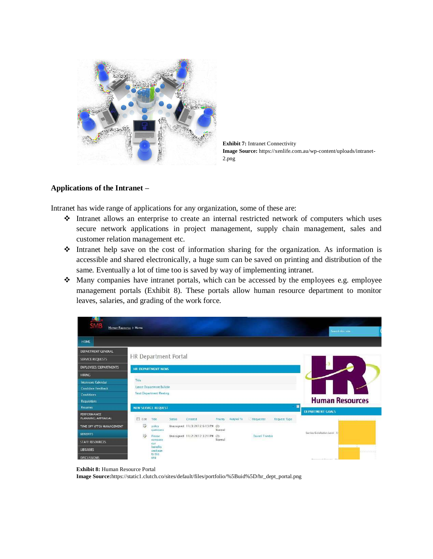

**Exhibit 7:** Intranet Connectivity **Image Source:** https://xenlife.com.au/wp-content/uploads/intranet-2.png

#### **Applications of the Intranet –**

Intranet has wide range of applications for any organization, some of these are:

- Intranet allows an enterprise to create an internal restricted network of computers which uses secure network applications in project management, supply chain management, sales and customer relation management etc.
- Intranet help save on the cost of information sharing for the organization. As information is accessible and shared electronically, a huge sum can be saved on printing and distribution of the same. Eventually a lot of time too is saved by way of implementing intranet.
- Many companies have intranet portals, which can be accessed by the employees e.g. employee management portals (Exhibit 8). These portals allow human resource department to monitor leaves, salaries, and grading of the work force.

| AU.<br>Human Resource + Home             |                                 |                     |        |                                  |        |                      |                 |                     | Search this site.              |
|------------------------------------------|---------------------------------|---------------------|--------|----------------------------------|--------|----------------------|-----------------|---------------------|--------------------------------|
| HOME                                     |                                 |                     |        |                                  |        |                      |                 |                     |                                |
| DEPARTMENT GENERAL                       |                                 |                     |        |                                  |        |                      |                 |                     |                                |
| <b>SERVICE REQUESTS</b>                  | HR Department Portal            |                     |        |                                  |        |                      |                 |                     |                                |
| <b>EMPLOYEES/DEPARTMENTS</b>             | HR DEPARTMENT NEWS              |                     |        |                                  |        |                      |                 |                     |                                |
| <b>HIRING</b>                            |                                 |                     |        |                                  |        |                      |                 |                     |                                |
| <b>Interviews Calendar</b>               | Title                           |                     |        |                                  |        |                      |                 |                     |                                |
| <b>Candidate Feedback</b>                | Latest Department Bulletin      |                     |        |                                  |        |                      |                 |                     |                                |
| Candidates                               | Next Department Meeting         |                     |        |                                  |        |                      |                 |                     |                                |
| Requisitions                             |                                 |                     |        |                                  |        |                      |                 |                     | <b>Human Resources</b>         |
| <b>Resurres</b>                          | ◼<br><b>NEW SERVICE REQUEST</b> |                     |        |                                  |        |                      |                 |                     |                                |
| <b>PERFORMANCE</b><br>PLANNING/APPRAISAL | 門<br>Edit                       | Title               | Scatus | Created                          |        | Priority Assigned To | Requester       | <b>Request Type</b> | <b>DEPARTMENT GOALS</b>        |
| TIME OFF (PTO) MANAGEMENT                | 莎                               | malicy<br>questions |        | Unassigned 11/3/2012 6:13 PM (2) | Narmal |                      |                 |                     |                                |
| <b>RENEFITS</b>                          | D                               | Please              |        | Unassigned 11/2/2012 3:21 PM     | (2)    |                      | Darrell Trimble |                     | Service Satisfaction Level - 5 |
| <b>STAFF RESOURCES</b>                   |                                 | compare<br>our-     |        |                                  | Normal |                      |                 |                     |                                |
| <b>LIBRARIES</b>                         |                                 | benefits<br>package |        |                                  |        |                      |                 |                     |                                |
| <b>DISCUSSIONS</b>                       |                                 | to this<br>one      |        |                                  |        |                      |                 |                     | Thompson Reports FAL           |

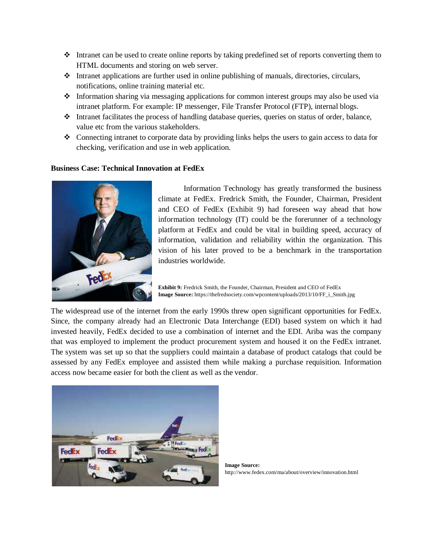- Intranet can be used to create online reports by taking predefined set of reports converting them to HTML documents and storing on web server.
- $\cdot \cdot$  Intranet applications are further used in online publishing of manuals, directories, circulars, notifications, online training material etc.
- $\bullet$  Information sharing via messaging applications for common interest groups may also be used via intranet platform. For example: IP messenger, File Transfer Protocol (FTP), internal blogs.
- Intranet facilitates the process of handling database queries, queries on status of order, balance, value etc from the various stakeholders.
- $\bullet$  Connecting intranet to corporate data by providing links helps the users to gain access to data for checking, verification and use in web application.

## **Business Case: Technical Innovation at FedEx**



Information Technology has greatly transformed the business climate at FedEx. Fredrick Smith, the Founder, Chairman, President and CEO of FedEx (Exhibit 9) had foreseen way ahead that how information technology (IT) could be the forerunner of a technology platform at FedEx and could be vital in building speed, accuracy of information, validation and reliability within the organization. This vision of his later proved to be a benchmark in the transportation industries worldwide.

**Exhibit 9:** Fredrick Smith, the Founder, Chairman, President and CEO of FedEx **Image Source:** https://thefredsociety.com/wpcontent/uploads/2013/10/FF\_i\_Smith.jpg

The widespread use of the internet from the early 1990s threw open significant opportunities for FedEx. Since, the company already had an Electronic Data Interchange (EDI) based system on which it had invested heavily, FedEx decided to use a combination of internet and the EDI. Ariba was the company that was employed to implement the product procurement system and housed it on the FedEx intranet. The system was set up so that the suppliers could maintain a database of product catalogs that could be assessed by any FedEx employee and assisted them while making a purchase requisition. Information access now became easier for both the client as well as the vendor.



**Image Source:** <http://www.fedex.com/ma/about/overview/innovation.html>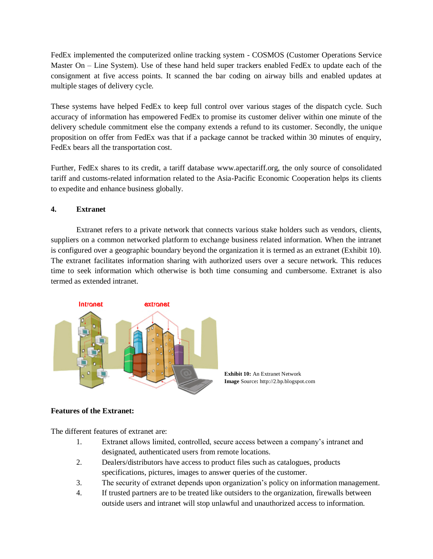FedEx implemented the computerized online tracking system - COSMOS (Customer Operations Service Master On – Line System). Use of these hand held super trackers enabled FedEx to update each of the consignment at five access points. It scanned the bar coding on airway bills and enabled updates at multiple stages of delivery cycle.

These systems have helped FedEx to keep full control over various stages of the dispatch cycle. Such accuracy of information has empowered FedEx to promise its customer deliver within one minute of the delivery schedule commitment else the company extends a refund to its customer. Secondly, the unique proposition on offer from FedEx was that if a package cannot be tracked within 30 minutes of enquiry, FedEx bears all the transportation cost.

Further, FedEx shares to its credit, a tariff database [www.apectariff.org, t](http://www.apectariff.org/)he only source of consolidated tariff and customs-related information related to the Asia-Pacific Economic Cooperation helps its clients to expedite and enhance business globally.

# **4. Extranet**

Extranet refers to a private network that connects various stake holders such as vendors, clients, suppliers on a common networked platform to exchange business related information. When the intranet is configured over a geographic boundary beyond the organization it is termed as an extranet (Exhibit 10). The extranet facilitates information sharing with authorized users over a secure network. This reduces time to seek information which otherwise is both time consuming and cumbersome. Extranet is also termed as extended intranet.





### **Features of the Extranet:**

The different features of extranet are:

- 1. Extranet allows limited, controlled, secure access between a company's intranet and designated, authenticated users from remote locations.
- 2. Dealers/distributors have access to product files such as catalogues, products specifications, pictures, images to answer queries of the customer.
- 3. The security of extranet depends upon organization's policy on information management.
- 4. If trusted partners are to be treated like outsiders to the organization, firewalls between outside users and intranet will stop unlawful and unauthorized access to information.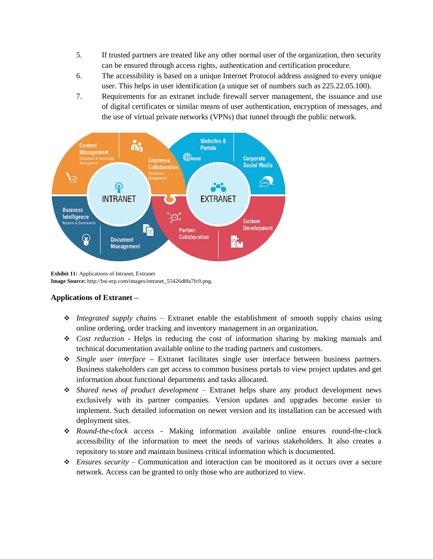- 5. If trusted partners are treated like any other normal user of the organization, then security can be ensured through access rights, authentication and certification procedure.
- 6. The accessibility is based on a unique Internet Protocol address assigned to every unique user. This helps in user identification (a unique set of numbers such as 225.22.05.100).
- 7. Requirements for an extranet include [firewall s](http://searchsecurity.techtarget.com/definition/firewall)erver management, the issuance and use of [digital certificates](http://searchsecurity.techtarget.com/definition/digital-certificate) or similar means of user authentication, [encryption o](http://searchsecurity.techtarget.com/definition/encryption)f messages, and the use of virtual private networks [\(VPNs\)](http://searchenterprisewan.techtarget.com/definition/virtual-private-network) that [tunnel t](http://searchenterprisewan.techtarget.com/definition/tunneling)hrough the public network.



**Exhibit 11:** Applications of Intranet, Extranet **Image Source:** [http://bsi-erp.com/images/intranet\\_55426d8fa7fc9.png.](http://bsi-erp.com/images/intranet_55426d8fa7fc9.png)

# **Applications of Extranet –**

- *Integrated supply chains*  Extranet enable the establishment of smooth supply chains using online ordering, order tracking and inventory management in an organization.
- *Cost reduction*  Helps in reducing the cost of information sharing by making manuals and technical documentation available online to the trading partners and customers.
- *Single user interface* **–** Extranet facilitates single user interface between business partners. Business stakeholders can get access to common business portals to view project updates and get information about functional departments and tasks allocated.
- *Shared news of product development*  Extranet helps share any product development news exclusively with its partner companies. Version updates and upgrades become easier to implement. Such detailed information on newer version and its installation can be accessed with deployment sites.
- *Round-the-clock access*  Making information available online ensures round-the-clock accessibility of the information to meet the needs of various stakeholders. It also creates a repository to store and maintain business critical information which is documented.
- *Ensures security*  Communication and interaction can be monitored as it occurs over a secure network. Access can be granted to only those who are authorized to view.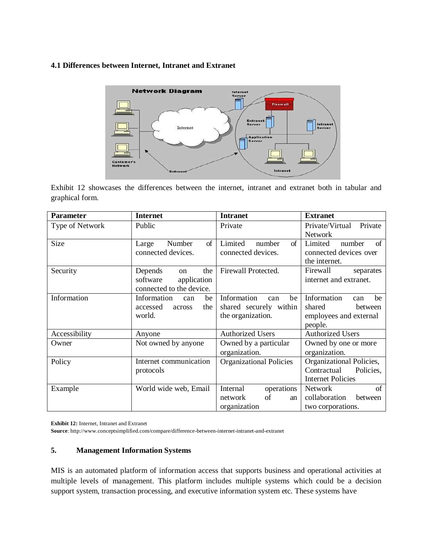# **4.1 Differences between Internet, Intranet and Extranet**



Exhibit 12 showcases the differences between the internet, intranet and extranet both in tabular and graphical form.

| <b>Parameter</b> | <b>Internet</b>                 | <b>Intranet</b>                | <b>Extranet</b>            |
|------------------|---------------------------------|--------------------------------|----------------------------|
| Type of Network  | Public                          | Private                        | Private/Virtual<br>Private |
|                  |                                 |                                | <b>Network</b>             |
| Size             | of<br>Number<br>Large           | Limited<br>of<br>number        | Limited<br>number<br>of    |
|                  | connected devices.              | connected devices.             | connected devices over     |
|                  |                                 |                                | the internet.              |
| Security         | Depends<br>the<br><sub>on</sub> | Firewall Protected.            | Firewall<br>separates      |
|                  | software<br>application         |                                | internet and extranet.     |
|                  | connected to the device.        |                                |                            |
| Information      | Information<br>be<br>can        | Information<br>be<br>can       | Information<br>be<br>can   |
|                  | accessed<br>the<br>across       | shared securely within         | shared<br>between          |
|                  | world.                          | the organization.              | employees and external     |
|                  |                                 |                                | people.                    |
| Accessibility    | Anyone                          | <b>Authorized Users</b>        | <b>Authorized Users</b>    |
| Owner            | Not owned by anyone             | Owned by a particular          | Owned by one or more       |
|                  |                                 | organization.                  | organization.              |
| Policy           | Internet communication          | <b>Organizational Policies</b> | Organizational Policies,   |
|                  | protocols                       |                                | Contractual<br>Policies,   |
|                  |                                 |                                | <b>Internet Policies</b>   |
| Example          | World wide web, Email           | operations<br>Internal         | of<br>Network              |
|                  |                                 | of<br>network<br>an            | collaboration<br>between   |
|                  |                                 | organization                   | two corporations.          |

**Exhibit 12:** Internet, Intranet and Extranet

**Source**:<http://www.conceptsimplified.com/compare/difference-between-internet-intranet-and-extranet>

### **5. Management Information Systems**

MIS is an automated platform of information access that supports business and operational activities at multiple levels of management. This platform includes multiple systems which could be a decision support system, transaction processing, and executive information system etc. These systems have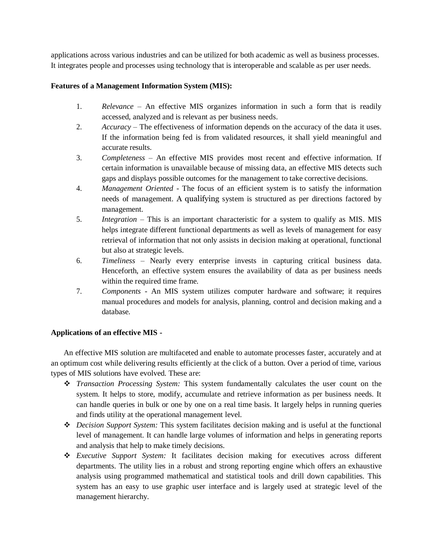applications across various industries and can be utilized for both academic as well as business processes. It integrates people and processes using technology that is interoperable and scalable as per user needs.

## **Features of a Management Information System (MIS):**

- 1. *Relevance*  An effective MIS organizes information in such a form that is readily accessed, analyzed and is relevant as per business needs.
- 2. *Accuracy*  The effectiveness of information depends on the accuracy of the data it uses. If the information being fed is from validated resources, it shall yield meaningful and accurate results.
- 3. *Completeness*  An effective MIS provides most recent and effective information. If certain information is unavailable because of missing data, an effective MIS detects such gaps and displays possible outcomes for the management to take corrective decisions.
- 4. *Management Oriented*  The focus of an efficient system is to satisfy the information needs of management. A qualifying system is structured as per directions factored by management.
- 5. *Integration*  This is an important characteristic for a system to qualify as MIS. MIS helps integrate different functional departments as well as levels of management for easy retrieval of information that not only assists in decision making at operational, functional but also at strategic levels.
- 6. *Timeliness*  Nearly every enterprise invests in capturing critical business data. Henceforth, an effective system ensures the availability of data as per business needs within the required time frame.
- 7. *Components*  An MIS system utilizes computer hardware and software; it requires manual procedures and models for analysis, planning, control and decision making and a database.

# **Applications of an effective MIS -**

An effective MIS solution are multifaceted and enable to automate processes faster, accurately and at an optimum cost while delivering results efficiently at the click of a button. Over a period of time, various types of MIS solutions have evolved. These are:

- *Transaction Processing System:* This system fundamentally calculates the user count on the system. It helps to store, modify, accumulate and retrieve information as per business needs. It can handle queries in bulk or one by one on a real time basis. It largely helps in running queries and finds utility at the operational management level.
- *Decision Support System:* This system facilitates decision making and is useful at the functional level of management. It can handle large volumes of information and helps in generating reports and analysis that help to make timely decisions.
- *Executive Support System:* It facilitates decision making for executives across different departments. The utility lies in a robust and strong reporting engine which offers an exhaustive analysis using programmed mathematical and statistical tools and drill down capabilities. This system has an easy to use graphic user interface and is largely used at strategic level of the management hierarchy.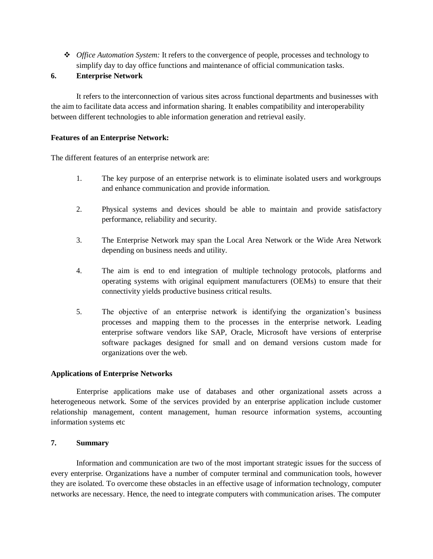*Office Automation System:* It refers to the convergence of people, processes and technology to simplify day to day office functions and maintenance of official communication tasks.

## **6. Enterprise Network**

It refers to the interconnection of various sites across functional departments and businesses with the aim to facilitate data access and information sharing. It enables compatibility and interoperability between different technologies to able information generation and retrieval easily.

## **Features of an Enterprise Network:**

The different features of an enterprise network are:

- 1. The key purpose of an enterprise network is to eliminate isolated users and workgroups and enhance communication and provide information.
- 2. Physical systems and devices should be able to maintain and provide satisfactory performance, reliability and security.
- 3. The Enterprise Network may span the Local Area Network or the Wide Area Network depending on business needs and utility.
- 4. The aim is end to end integration of multiple technology protocols, platforms and operating systems with original equipment manufacturers (OEMs) to ensure that their connectivity yields productive business critical results.
- 5. The objective of an enterprise network is identifying the organization's business processes and mapping them to the processes in the enterprise network. Leading enterprise software vendors like SAP, Oracle, Microsoft have versions of enterprise software packages designed for small and on demand versions custom made for organizations over the web.

### **Applications of Enterprise Networks**

Enterprise applications make use of databases and other organizational assets across a heterogeneous network. Some of the services provided by an enterprise application include customer relationship management, content management, human resource information systems, accounting information systems etc

### **7. Summary**

Information and communication are two of the most important strategic issues for the success of every enterprise. Organizations have a number of computer terminal and communication tools, however they are isolated. To overcome these obstacles in an effective usage of information technology, computer networks are necessary. Hence, the need to integrate computers with communication arises. The computer